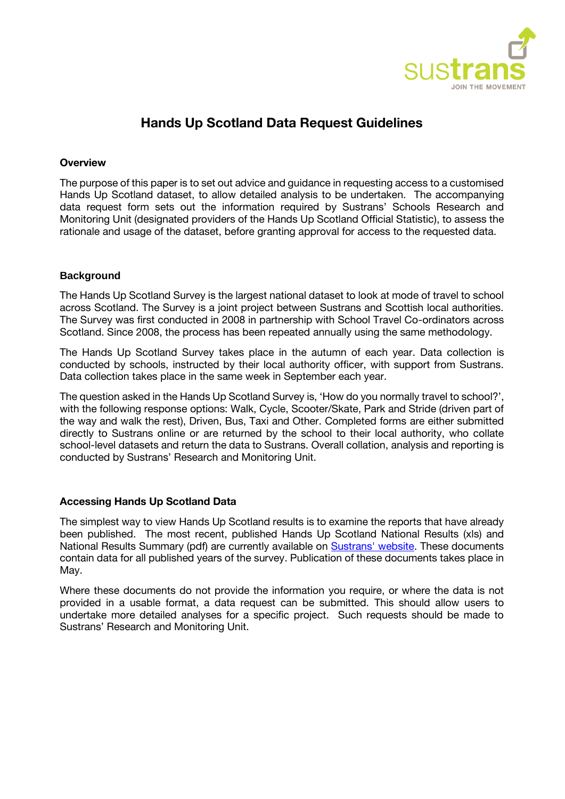

# **Hands Up Scotland Data Request Guidelines**

#### **Overview**

The purpose of this paper is to set out advice and guidance in requesting access to a customised Hands Up Scotland dataset, to allow detailed analysis to be undertaken. The accompanying data request form sets out the information required by Sustrans' Schools Research and Monitoring Unit (designated providers of the Hands Up Scotland Official Statistic), to assess the rationale and usage of the dataset, before granting approval for access to the requested data.

## **Background**

The Hands Up Scotland Survey is the largest national dataset to look at mode of travel to school across Scotland. The Survey is a joint project between Sustrans and Scottish local authorities. The Survey was first conducted in 2008 in partnership with School Travel Co-ordinators across Scotland. Since 2008, the process has been repeated annually using the same methodology.

The Hands Up Scotland Survey takes place in the autumn of each year. Data collection is conducted by schools, instructed by their local authority officer, with support from Sustrans. Data collection takes place in the same week in September each year.

The question asked in the Hands Up Scotland Survey is, 'How do you normally travel to school?', with the following response options: Walk, Cycle, Scooter/Skate, Park and Stride (driven part of the way and walk the rest), Driven, Bus, Taxi and Other. Completed forms are either submitted directly to Sustrans online or are returned by the school to their local authority, who collate school-level datasets and return the data to Sustrans. Overall collation, analysis and reporting is conducted by Sustrans' Research and Monitoring Unit.

## **Accessing Hands Up Scotland Data**

The simplest way to view Hands Up Scotland results is to examine the reports that have already been published. The most recent, published Hands Up Scotland National Results (xls) and National Results Summary (pdf) are currently available on [Sustrans'](https://www.sustrans.org.uk/scotland/hands-up-scotland-survey) website. These documents contain data for all published years of the survey. Publication of these documents takes place in May.

Where these documents do not provide the information you require, or where the data is not provided in a usable format, a data request can be submitted. This should allow users to undertake more detailed analyses for a specific project. Such requests should be made to Sustrans' Research and Monitoring Unit.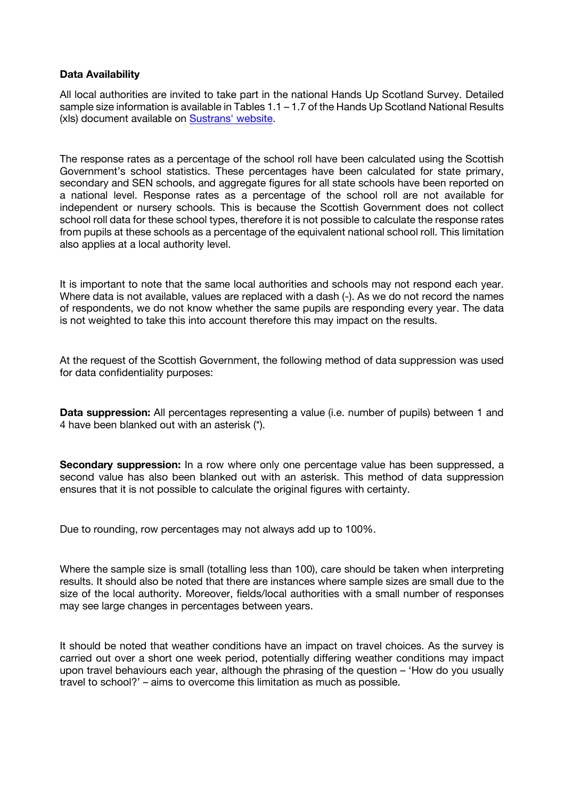#### **Data Availability**

All local authorities are invited to take part in the national Hands Up Scotland Survey. Detailed sample size information is available in Tables 1.1 – 1.7 of the Hands Up Scotland National Results (xls) document available on [Sustrans' website.](https://www.sustrans.org.uk/our-blog/projects/2019/scotland/hands-up-scotland-survey/)

The response rates as a percentage of the school roll have been calculated using the Scottish Government's school statistics. These percentages have been calculated for state primary, secondary and SEN schools, and aggregate figures for all state schools have been reported on a national level. Response rates as a percentage of the school roll are not available for independent or nursery schools. This is because the Scottish Government does not collect school roll data for these school types, therefore it is not possible to calculate the response rates from pupils at these schools as a percentage of the equivalent national school roll. This limitation also applies at a local authority level.

It is important to note that the same local authorities and schools may not respond each year. Where data is not available, values are replaced with a dash (-). As we do not record the names of respondents, we do not know whether the same pupils are responding every year. The data is not weighted to take this into account therefore this may impact on the results.

At the request of the Scottish Government, the following method of data suppression was used for data confidentiality purposes:

**Data suppression:** All percentages representing a value (i.e. number of pupils) between 1 and 4 have been blanked out with an asterisk (\*).

**Secondary suppression:** In a row where only one percentage value has been suppressed, a second value has also been blanked out with an asterisk. This method of data suppression ensures that it is not possible to calculate the original figures with certainty.

Due to rounding, row percentages may not always add up to 100%.

Where the sample size is small (totalling less than 100), care should be taken when interpreting results. It should also be noted that there are instances where sample sizes are small due to the size of the local authority. Moreover, fields/local authorities with a small number of responses may see large changes in percentages between years.

It should be noted that weather conditions have an impact on travel choices. As the survey is carried out over a short one week period, potentially differing weather conditions may impact upon travel behaviours each year, although the phrasing of the question – 'How do you usually travel to school?' – aims to overcome this limitation as much as possible.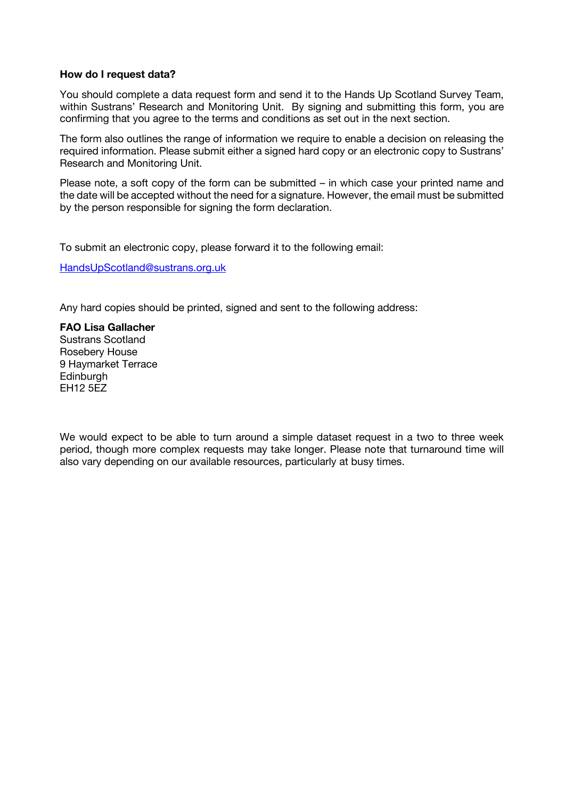#### **How do I request data?**

You should complete a data request form and send it to the Hands Up Scotland Survey Team, within Sustrans' Research and Monitoring Unit. By signing and submitting this form, you are confirming that you agree to the terms and conditions as set out in the next section.

The form also outlines the range of information we require to enable a decision on releasing the required information. Please submit either a signed hard copy or an electronic copy to Sustrans' Research and Monitoring Unit.

Please note, a soft copy of the form can be submitted – in which case your printed name and the date will be accepted without the need for a signature. However, the email must be submitted by the person responsible for signing the form declaration.

To submit an electronic copy, please forward it to the following email:

[HandsUpScotland@sustrans.org.uk](mailto:HandsUpScotland@sustrans.org.uk)

Any hard copies should be printed, signed and sent to the following address:

**FAO Lisa Gallacher** Sustrans Scotland Rosebery House 9 Haymarket Terrace **Edinburgh** EH12 5EZ

We would expect to be able to turn around a simple dataset request in a two to three week period, though more complex requests may take longer. Please note that turnaround time will also vary depending on our available resources, particularly at busy times.